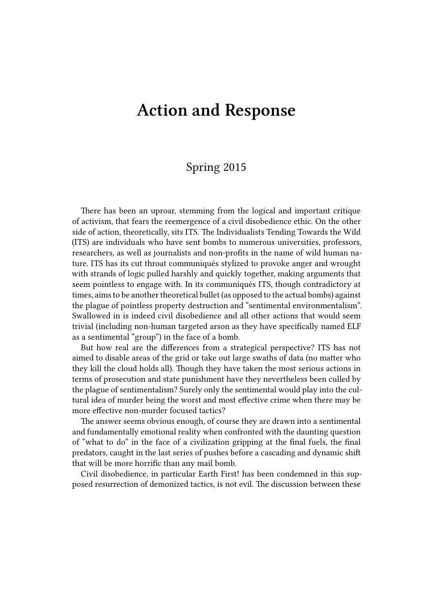## **Action and Response**

## Spring 2015

There has been an uproar, stemming from the logical and important critique of activism, that fears the reemergence of a civil disobedience ethic. On the other side of action, theoretically, sits ITS. The Individualists Tending Towards the Wild (ITS) are individuals who have sent bombs to numerous universities, professors, researchers, as well as journalists and non-profits in the name of wild human nature. ITS has its cut throat communiqués stylized to provoke anger and wrought with strands of logic pulled harshly and quickly together, making arguments that seem pointless to engage with. In its communiqués ITS, though contradictory at times, aims to be another theoretical bullet (as opposed to the actual bombs) against the plague of pointless property destruction and "sentimental environmentalism". Swallowed in is indeed civil disobedience and all other actions that would seem trivial (including non-human targeted arson as they have specifically named ELF as a sentimental "group") in the face of a bomb.

But how real are the differences from a strategical perspective? ITS has not aimed to disable areas of the grid or take out large swaths of data (no matter who they kill the cloud holds all). Though they have taken the most serious actions in terms of prosecution and state punishment have they nevertheless been culled by the plague of sentimentalism? Surely only the sentimental would play into the cultural idea of murder being the worst and most effective crime when there may be more effective non-murder focused tactics?

The answer seems obvious enough, of course they are drawn into a sentimental and fundamentally emotional reality when confronted with the daunting question of "what to do" in the face of a civilization gripping at the final fuels, the final predators, caught in the last series of pushes before a cascading and dynamic shift that will be more horrific than any mail bomb.

Civil disobedience, in particular Earth First! has been condemned in this supposed resurrection of demonized tactics, is not evil. The discussion between these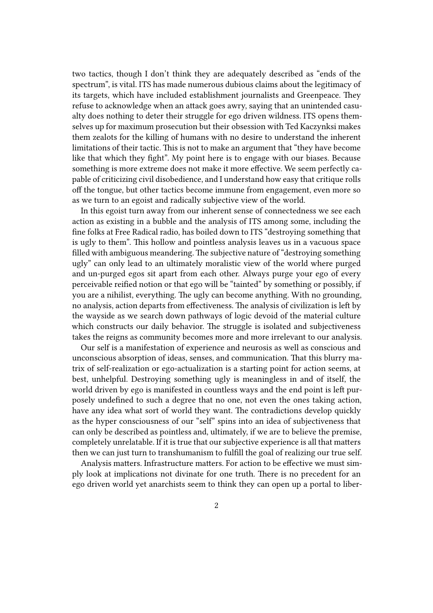two tactics, though I don't think they are adequately described as "ends of the spectrum", is vital. ITS has made numerous dubious claims about the legitimacy of its targets, which have included establishment journalists and Greenpeace. They refuse to acknowledge when an attack goes awry, saying that an unintended casualty does nothing to deter their struggle for ego driven wildness. ITS opens themselves up for maximum prosecution but their obsession with Ted Kaczynksi makes them zealots for the killing of humans with no desire to understand the inherent limitations of their tactic. This is not to make an argument that "they have become like that which they fight". My point here is to engage with our biases. Because something is more extreme does not make it more effective. We seem perfectly capable of criticizing civil disobedience, and I understand how easy that critique rolls off the tongue, but other tactics become immune from engagement, even more so as we turn to an egoist and radically subjective view of the world.

In this egoist turn away from our inherent sense of connectedness we see each action as existing in a bubble and the analysis of ITS among some, including the fine folks at Free Radical radio, has boiled down to ITS "destroying something that is ugly to them". This hollow and pointless analysis leaves us in a vacuous space filled with ambiguous meandering. The subjective nature of "destroying something ugly" can only lead to an ultimately moralistic view of the world where purged and un-purged egos sit apart from each other. Always purge your ego of every perceivable reified notion or that ego will be "tainted" by something or possibly, if you are a nihilist, everything. The ugly can become anything. With no grounding, no analysis, action departs from effectiveness. The analysis of civilization is left by the wayside as we search down pathways of logic devoid of the material culture which constructs our daily behavior. The struggle is isolated and subjectiveness takes the reigns as community becomes more and more irrelevant to our analysis.

Our self is a manifestation of experience and neurosis as well as conscious and unconscious absorption of ideas, senses, and communication. That this blurry matrix of self-realization or ego-actualization is a starting point for action seems, at best, unhelpful. Destroying something ugly is meaningless in and of itself, the world driven by ego is manifested in countless ways and the end point is left purposely undefined to such a degree that no one, not even the ones taking action, have any idea what sort of world they want. The contradictions develop quickly as the hyper consciousness of our "self" spins into an idea of subjectiveness that can only be described as pointless and, ultimately, if we are to believe the premise, completely unrelatable. If it is true that our subjective experience is all that matters then we can just turn to transhumanism to fulfill the goal of realizing our true self.

Analysis matters. Infrastructure matters. For action to be effective we must simply look at implications not divinate for one truth. There is no precedent for an ego driven world yet anarchists seem to think they can open up a portal to liber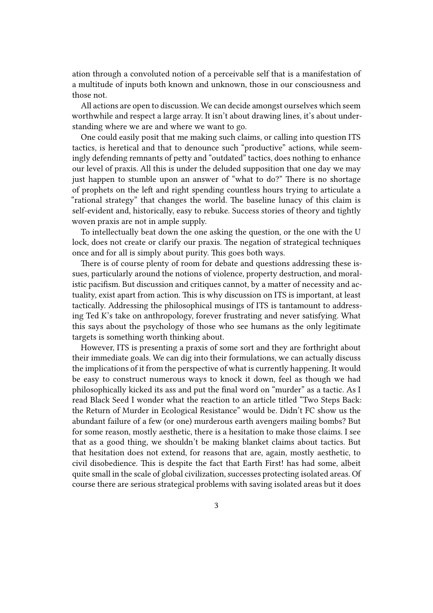ation through a convoluted notion of a perceivable self that is a manifestation of a multitude of inputs both known and unknown, those in our consciousness and those not.

All actions are open to discussion. We can decide amongst ourselves which seem worthwhile and respect a large array. It isn't about drawing lines, it's about understanding where we are and where we want to go.

One could easily posit that me making such claims, or calling into question ITS tactics, is heretical and that to denounce such "productive" actions, while seemingly defending remnants of petty and "outdated" tactics, does nothing to enhance our level of praxis. All this is under the deluded supposition that one day we may just happen to stumble upon an answer of "what to do?" There is no shortage of prophets on the left and right spending countless hours trying to articulate a "rational strategy" that changes the world. The baseline lunacy of this claim is self-evident and, historically, easy to rebuke. Success stories of theory and tightly woven praxis are not in ample supply.

To intellectually beat down the one asking the question, or the one with the U lock, does not create or clarify our praxis. The negation of strategical techniques once and for all is simply about purity. This goes both ways.

There is of course plenty of room for debate and questions addressing these issues, particularly around the notions of violence, property destruction, and moralistic pacifism. But discussion and critiques cannot, by a matter of necessity and actuality, exist apart from action. This is why discussion on ITS is important, at least tactically. Addressing the philosophical musings of ITS is tantamount to addressing Ted K's take on anthropology, forever frustrating and never satisfying. What this says about the psychology of those who see humans as the only legitimate targets is something worth thinking about.

However, ITS is presenting a praxis of some sort and they are forthright about their immediate goals. We can dig into their formulations, we can actually discuss the implications of it from the perspective of what is currently happening. It would be easy to construct numerous ways to knock it down, feel as though we had philosophically kicked its ass and put the final word on "murder" as a tactic. As I read Black Seed I wonder what the reaction to an article titled "Two Steps Back: the Return of Murder in Ecological Resistance" would be. Didn't FC show us the abundant failure of a few (or one) murderous earth avengers mailing bombs? But for some reason, mostly aesthetic, there is a hesitation to make those claims. I see that as a good thing, we shouldn't be making blanket claims about tactics. But that hesitation does not extend, for reasons that are, again, mostly aesthetic, to civil disobedience. This is despite the fact that Earth First! has had some, albeit quite small in the scale of global civilization, successes protecting isolated areas. Of course there are serious strategical problems with saving isolated areas but it does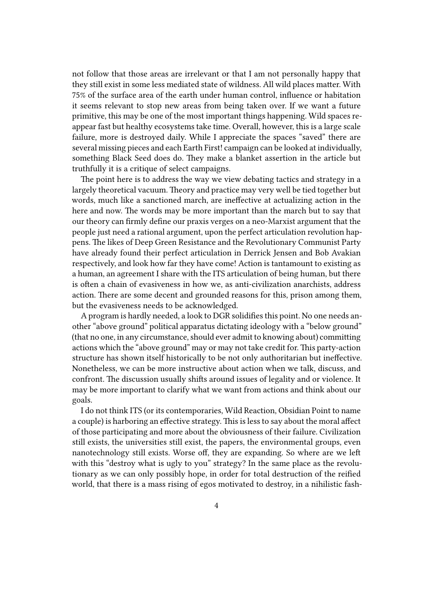not follow that those areas are irrelevant or that I am not personally happy that they still exist in some less mediated state of wildness. All wild places matter. With 75% of the surface area of the earth under human control, influence or habitation it seems relevant to stop new areas from being taken over. If we want a future primitive, this may be one of the most important things happening. Wild spaces reappear fast but healthy ecosystems take time. Overall, however, this is a large scale failure, more is destroyed daily. While I appreciate the spaces "saved" there are several missing pieces and each Earth First! campaign can be looked at individually, something Black Seed does do. They make a blanket assertion in the article but truthfully it is a critique of select campaigns.

The point here is to address the way we view debating tactics and strategy in a largely theoretical vacuum. Theory and practice may very well be tied together but words, much like a sanctioned march, are ineffective at actualizing action in the here and now. The words may be more important than the march but to say that our theory can firmly define our praxis verges on a neo-Marxist argument that the people just need a rational argument, upon the perfect articulation revolution happens. The likes of Deep Green Resistance and the Revolutionary Communist Party have already found their perfect articulation in Derrick Jensen and Bob Avakian respectively, and look how far they have come! Action is tantamount to existing as a human, an agreement I share with the ITS articulation of being human, but there is often a chain of evasiveness in how we, as anti-civilization anarchists, address action. There are some decent and grounded reasons for this, prison among them, but the evasiveness needs to be acknowledged.

A program is hardly needed, a look to DGR solidifies this point. No one needs another "above ground" political apparatus dictating ideology with a "below ground" (that no one, in any circumstance, should ever admit to knowing about) committing actions which the "above ground" may or may not take credit for. This party-action structure has shown itself historically to be not only authoritarian but ineffective. Nonetheless, we can be more instructive about action when we talk, discuss, and confront. The discussion usually shifts around issues of legality and or violence. It may be more important to clarify what we want from actions and think about our goals.

I do not think ITS (or its contemporaries, Wild Reaction, Obsidian Point to name a couple) is harboring an effective strategy. This is less to say about the moral affect of those participating and more about the obviousness of their failure. Civilization still exists, the universities still exist, the papers, the environmental groups, even nanotechnology still exists. Worse off, they are expanding. So where are we left with this "destroy what is ugly to you" strategy? In the same place as the revolutionary as we can only possibly hope, in order for total destruction of the reified world, that there is a mass rising of egos motivated to destroy, in a nihilistic fash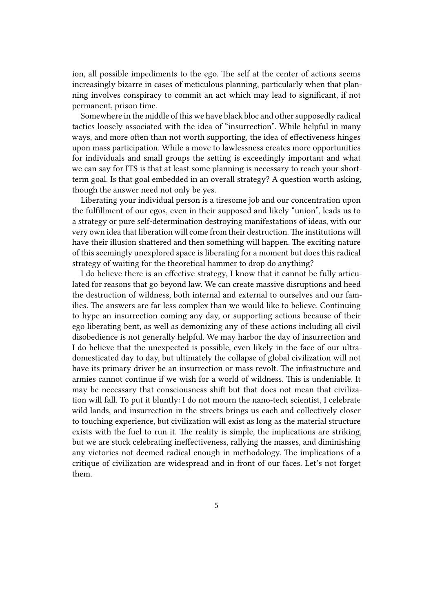ion, all possible impediments to the ego. The self at the center of actions seems increasingly bizarre in cases of meticulous planning, particularly when that planning involves conspiracy to commit an act which may lead to significant, if not permanent, prison time.

Somewhere in the middle of this we have black bloc and other supposedly radical tactics loosely associated with the idea of "insurrection". While helpful in many ways, and more often than not worth supporting, the idea of effectiveness hinges upon mass participation. While a move to lawlessness creates more opportunities for individuals and small groups the setting is exceedingly important and what we can say for ITS is that at least some planning is necessary to reach your shortterm goal. Is that goal embedded in an overall strategy? A question worth asking, though the answer need not only be yes.

Liberating your individual person is a tiresome job and our concentration upon the fulfillment of our egos, even in their supposed and likely "union", leads us to a strategy or pure self-determination destroying manifestations of ideas, with our very own idea that liberation will come from their destruction. The institutions will have their illusion shattered and then something will happen. The exciting nature of this seemingly unexplored space is liberating for a moment but does this radical strategy of waiting for the theoretical hammer to drop do anything?

I do believe there is an effective strategy, I know that it cannot be fully articulated for reasons that go beyond law. We can create massive disruptions and heed the destruction of wildness, both internal and external to ourselves and our families. The answers are far less complex than we would like to believe. Continuing to hype an insurrection coming any day, or supporting actions because of their ego liberating bent, as well as demonizing any of these actions including all civil disobedience is not generally helpful. We may harbor the day of insurrection and I do believe that the unexpected is possible, even likely in the face of our ultradomesticated day to day, but ultimately the collapse of global civilization will not have its primary driver be an insurrection or mass revolt. The infrastructure and armies cannot continue if we wish for a world of wildness. This is undeniable. It may be necessary that consciousness shift but that does not mean that civilization will fall. To put it bluntly: I do not mourn the nano-tech scientist, I celebrate wild lands, and insurrection in the streets brings us each and collectively closer to touching experience, but civilization will exist as long as the material structure exists with the fuel to run it. The reality is simple, the implications are striking, but we are stuck celebrating ineffectiveness, rallying the masses, and diminishing any victories not deemed radical enough in methodology. The implications of a critique of civilization are widespread and in front of our faces. Let's not forget them.